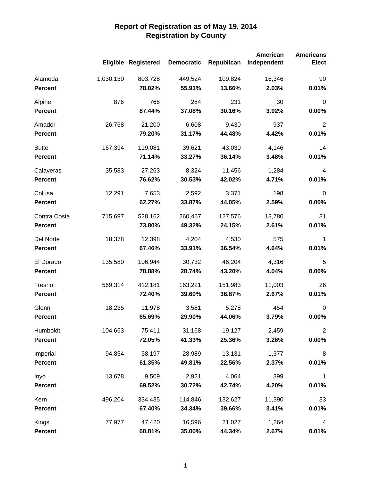|                |           |                     |                   |            | <b>American</b> | <b>Americans</b> |
|----------------|-----------|---------------------|-------------------|------------|-----------------|------------------|
|                |           | Eligible Registered | <b>Democratic</b> | Republican | Independent     | <b>Elect</b>     |
| Alameda        | 1,030,130 | 803,728             | 449,524           | 109,824    | 16,346          | 90               |
| <b>Percent</b> |           | 78.02%              | 55.93%            | 13.66%     | 2.03%           | 0.01%            |
| Alpine         | 876       | 766                 | 284               | 231        | 30              | $\mathbf 0$      |
| <b>Percent</b> |           | 87.44%              | 37.08%            | 30.16%     | 3.92%           | 0.00%            |
| Amador         | 26,768    | 21,200              | 6,608             | 9,430      | 937             | $\overline{2}$   |
| <b>Percent</b> |           | 79.20%              | 31.17%            | 44.48%     | 4.42%           | 0.01%            |
| <b>Butte</b>   | 167,394   | 119,081             | 39,621            | 43,030     | 4,146           | 14               |
| <b>Percent</b> |           | 71.14%              | 33.27%            | 36.14%     | 3.48%           | 0.01%            |
| Calaveras      | 35,583    | 27,263              | 8,324             | 11,456     | 1,284           | $\overline{4}$   |
| <b>Percent</b> |           | 76.62%              | 30.53%            | 42.02%     | 4.71%           | 0.01%            |
| Colusa         | 12,291    | 7,653               | 2,592             | 3,371      | 198             | $\mathbf 0$      |
| <b>Percent</b> |           | 62.27%              | 33.87%            | 44.05%     | 2.59%           | 0.00%            |
| Contra Costa   | 715,697   | 528,162             | 260,467           | 127,576    | 13,780          | 31               |
| <b>Percent</b> |           | 73.80%              | 49.32%            | 24.15%     | 2.61%           | 0.01%            |
| Del Norte      | 18,378    | 12,398              | 4,204             | 4,530      | 575             | 1                |
| <b>Percent</b> |           | 67.46%              | 33.91%            | 36.54%     | 4.64%           | 0.01%            |
| El Dorado      | 135,580   | 106,944             | 30,732            | 46,204     | 4,316           | 5                |
| <b>Percent</b> |           | 78.88%              | 28.74%            | 43.20%     | 4.04%           | 0.00%            |
| Fresno         | 569,314   | 412,181             | 163,221           | 151,983    | 11,003          | 26               |
| <b>Percent</b> |           | 72.40%              | 39.60%            | 36.87%     | 2.67%           | 0.01%            |
| Glenn          | 18,235    | 11,978              | 3,581             | 5,278      | 454             | $\mathbf 0$      |
| <b>Percent</b> |           | 65.69%              | 29.90%            | 44.06%     | 3.79%           | 0.00%            |
| Humboldt       | 104,663   | 75,411              | 31,168            | 19,127     | 2,459           | $\overline{c}$   |
| <b>Percent</b> |           | 72.05%              | 41.33%            | 25.36%     | 3.26%           | 0.00%            |
| Imperial       | 94,854    | 58,197              | 28,989            | 13,131     | 1,377           | 8                |
| <b>Percent</b> |           | 61.35%              | 49.81%            | 22.56%     | 2.37%           | 0.01%            |
| Inyo           | 13,678    | 9,509               | 2,921             | 4,064      | 399             | $\mathbf 1$      |
| <b>Percent</b> |           | 69.52%              | 30.72%            | 42.74%     | 4.20%           | 0.01%            |
| Kern           | 496,204   | 334,435             | 114,846           | 132,627    | 11,390          | 33               |
| <b>Percent</b> |           | 67.40%              | 34.34%            | 39.66%     | 3.41%           | 0.01%            |
| Kings          | 77,977    | 47,420              | 16,596            | 21,027     | 1,264           | 4                |
| Percent        |           | 60.81%              | 35.00%            | 44.34%     | 2.67%           | 0.01%            |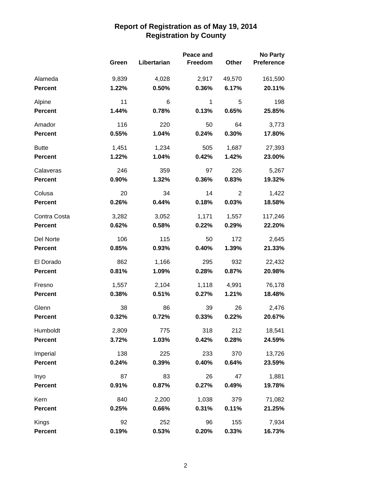|                |       | Peace and   |         |                | <b>No Party</b>   |  |
|----------------|-------|-------------|---------|----------------|-------------------|--|
|                | Green | Libertarian | Freedom | Other          | <b>Preference</b> |  |
| Alameda        | 9,839 | 4,028       | 2,917   | 49,570         | 161,590           |  |
| <b>Percent</b> | 1.22% | 0.50%       | 0.36%   | 6.17%          | 20.11%            |  |
| Alpine         | 11    | 6           | 1       | 5              | 198               |  |
| <b>Percent</b> | 1.44% | 0.78%       | 0.13%   | 0.65%          | 25.85%            |  |
| Amador         | 116   | 220         | 50      | 64             | 3,773             |  |
| <b>Percent</b> | 0.55% | 1.04%       | 0.24%   | 0.30%          | 17.80%            |  |
| <b>Butte</b>   | 1,451 | 1,234       | 505     | 1,687          | 27,393            |  |
| <b>Percent</b> | 1.22% | 1.04%       | 0.42%   | 1.42%          | 23.00%            |  |
| Calaveras      | 246   | 359         | 97      | 226            | 5,267             |  |
| <b>Percent</b> | 0.90% | 1.32%       | 0.36%   | 0.83%          | 19.32%            |  |
| Colusa         | 20    | 34          | 14      | $\overline{2}$ | 1,422             |  |
| <b>Percent</b> | 0.26% | 0.44%       | 0.18%   | 0.03%          | 18.58%            |  |
| Contra Costa   | 3,282 | 3,052       | 1,171   | 1,557          | 117,246           |  |
| <b>Percent</b> | 0.62% | 0.58%       | 0.22%   | 0.29%          | 22.20%            |  |
| Del Norte      | 106   | 115         | 50      | 172            | 2,645             |  |
| <b>Percent</b> | 0.85% | 0.93%       | 0.40%   | 1.39%          | 21.33%            |  |
| El Dorado      | 862   | 1,166       | 295     | 932            | 22,432            |  |
| <b>Percent</b> | 0.81% | 1.09%       | 0.28%   | 0.87%          | 20.98%            |  |
| Fresno         | 1,557 | 2,104       | 1,118   | 4,991          | 76,178            |  |
| <b>Percent</b> | 0.38% | 0.51%       | 0.27%   | 1.21%          | 18.48%            |  |
| Glenn          | 38    | 86          | 39      | 26             | 2,476             |  |
| Percent        | 0.32% | 0.72%       | 0.33%   | 0.22%          | 20.67%            |  |
| Humboldt       | 2,809 | 775         | 318     | 212            | 18,541            |  |
| <b>Percent</b> | 3.72% | 1.03%       | 0.42%   | 0.28%          | 24.59%            |  |
| Imperial       | 138   | 225         | 233     | 370            | 13,726            |  |
| <b>Percent</b> | 0.24% | 0.39%       | 0.40%   | 0.64%          | 23.59%            |  |
| Inyo           | 87    | 83          | 26      | 47             | 1,881             |  |
| <b>Percent</b> | 0.91% | 0.87%       | 0.27%   | 0.49%          | 19.78%            |  |
| Kern           | 840   | 2,200       | 1,038   | 379            | 71,082            |  |
| <b>Percent</b> | 0.25% | 0.66%       | 0.31%   | 0.11%          | 21.25%            |  |
| Kings          | 92    | 252         | 96      | 155            | 7,934             |  |
| Percent        | 0.19% | 0.53%       | 0.20%   | 0.33%          | 16.73%            |  |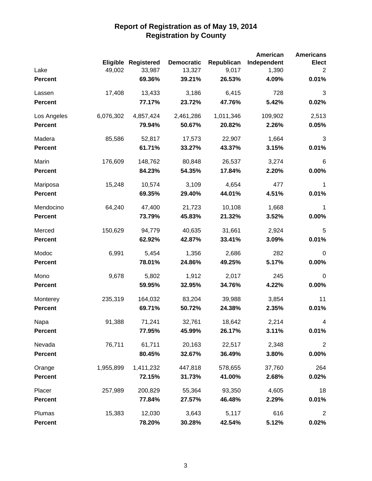|                |           |                            |                   |            | <b>American</b> | <b>Americans</b> |
|----------------|-----------|----------------------------|-------------------|------------|-----------------|------------------|
|                |           | <b>Eligible Registered</b> | <b>Democratic</b> | Republican | Independent     | <b>Elect</b>     |
| Lake           | 49,002    | 33,987                     | 13,327            | 9,017      | 1,390           | 2                |
| <b>Percent</b> |           | 69.36%                     | 39.21%            | 26.53%     | 4.09%           | 0.01%            |
| Lassen         | 17,408    | 13,433                     | 3,186             | 6,415      | 728             | 3                |
| <b>Percent</b> |           | 77.17%                     | 23.72%            | 47.76%     | 5.42%           | 0.02%            |
| Los Angeles    | 6,076,302 | 4,857,424                  | 2,461,286         | 1,011,346  | 109,902         | 2,513            |
| <b>Percent</b> |           | 79.94%                     | 50.67%            | 20.82%     | 2.26%           | 0.05%            |
| Madera         | 85,586    | 52,817                     | 17,573            | 22,907     | 1,664           | 3                |
| <b>Percent</b> |           | 61.71%                     | 33.27%            | 43.37%     | 3.15%           | 0.01%            |
| Marin          | 176,609   | 148,762                    | 80,848            | 26,537     | 3,274           | 6                |
| <b>Percent</b> |           | 84.23%                     | 54.35%            | 17.84%     | 2.20%           | $0.00\%$         |
| Mariposa       | 15,248    | 10,574                     | 3,109             | 4,654      | 477             | 1                |
| <b>Percent</b> |           | 69.35%                     | 29.40%            | 44.01%     | 4.51%           | 0.01%            |
| Mendocino      | 64,240    | 47,400                     | 21,723            | 10,108     | 1,668           | $\mathbf{1}$     |
| <b>Percent</b> |           | 73.79%                     | 45.83%            | 21.32%     | 3.52%           | 0.00%            |
| Merced         | 150,629   | 94,779                     | 40,635            | 31,661     | 2,924           | 5                |
| <b>Percent</b> |           | 62.92%                     | 42.87%            | 33.41%     | 3.09%           | 0.01%            |
| Modoc          | 6,991     | 5,454                      | 1,356             | 2,686      | 282             | $\mathbf 0$      |
| <b>Percent</b> |           | 78.01%                     | 24.86%            | 49.25%     | 5.17%           | 0.00%            |
| Mono           | 9,678     | 5,802                      | 1,912             | 2,017      | 245             | $\mathbf 0$      |
| <b>Percent</b> |           | 59.95%                     | 32.95%            | 34.76%     | 4.22%           | 0.00%            |
| Monterey       | 235,319   | 164,032                    | 83,204            | 39,988     | 3,854           | 11               |
| <b>Percent</b> |           | 69.71%                     | 50.72%            | 24.38%     | 2.35%           | 0.01%            |
| Napa           | 91,388    | 71,241                     | 32,761            | 18,642     | 2,214           | 4                |
| <b>Percent</b> |           | 77.95%                     | 45.99%            | 26.17%     | 3.11%           | 0.01%            |
| Nevada         | 76,711    | 61,711                     | 20,163            | 22,517     | 2,348           | $\overline{2}$   |
| <b>Percent</b> |           | 80.45%                     | 32.67%            | 36.49%     | 3.80%           | $0.00\%$         |
| Orange         | 1,955,899 | 1,411,232                  | 447,818           | 578,655    | 37,760          | 264              |
| <b>Percent</b> |           | 72.15%                     | 31.73%            | 41.00%     | 2.68%           | 0.02%            |
| Placer         | 257,989   | 200,829                    | 55,364            | 93,350     | 4,605           | 18               |
| <b>Percent</b> |           | 77.84%                     | 27.57%            | 46.48%     | 2.29%           | 0.01%            |
| Plumas         | 15,383    | 12,030                     | 3,643             | 5,117      | 616             | $\overline{2}$   |
| <b>Percent</b> |           | 78.20%                     | 30.28%            | 42.54%     | 5.12%           | 0.02%            |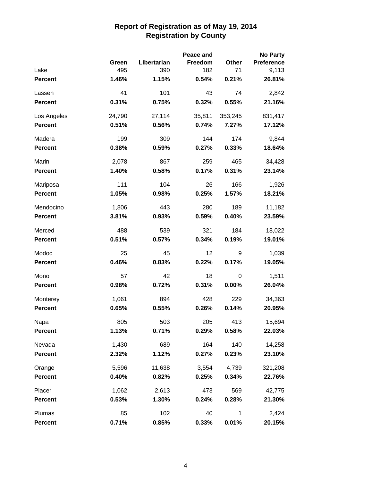|                |        |             | Peace and |         | <b>No Party</b>   |
|----------------|--------|-------------|-----------|---------|-------------------|
|                | Green  | Libertarian | Freedom   | Other   | <b>Preference</b> |
| Lake           | 495    | 390         | 182       | 71      | 9,113             |
| <b>Percent</b> | 1.46%  | 1.15%       | 0.54%     | 0.21%   | 26.81%            |
| Lassen         | 41     | 101         | 43        | 74      | 2,842             |
| <b>Percent</b> | 0.31%  | 0.75%       | 0.32%     | 0.55%   | 21.16%            |
| Los Angeles    | 24,790 | 27,114      | 35,811    | 353,245 | 831,417           |
| <b>Percent</b> | 0.51%  | 0.56%       | 0.74%     | 7.27%   | 17.12%            |
| Madera         | 199    | 309         | 144       | 174     | 9,844             |
| <b>Percent</b> | 0.38%  | 0.59%       | 0.27%     | 0.33%   | 18.64%            |
| Marin          | 2,078  | 867         | 259       | 465     | 34,428            |
| <b>Percent</b> | 1.40%  | 0.58%       | 0.17%     | 0.31%   | 23.14%            |
| Mariposa       | 111    | 104         | 26        | 166     | 1,926             |
| <b>Percent</b> | 1.05%  | 0.98%       | 0.25%     | 1.57%   | 18.21%            |
| Mendocino      | 1,806  | 443         | 280       | 189     | 11,182            |
| <b>Percent</b> | 3.81%  | 0.93%       | 0.59%     | 0.40%   | 23.59%            |
| Merced         | 488    | 539         | 321       | 184     | 18,022            |
| <b>Percent</b> | 0.51%  | 0.57%       | 0.34%     | 0.19%   | 19.01%            |
| Modoc          | 25     | 45          | 12        | 9       | 1,039             |
| <b>Percent</b> | 0.46%  | 0.83%       | 0.22%     | 0.17%   | 19.05%            |
| Mono           | 57     | 42          | 18        | 0       | 1,511             |
| Percent        | 0.98%  | 0.72%       | 0.31%     | 0.00%   | 26.04%            |
| Monterey       | 1,061  | 894         | 428       | 229     | 34,363            |
| <b>Percent</b> | 0.65%  | 0.55%       | 0.26%     | 0.14%   | 20.95%            |
| Napa           | 805    | 503         | 205       | 413     | 15,694            |
| <b>Percent</b> | 1.13%  | 0.71%       | 0.29%     | 0.58%   | 22.03%            |
| Nevada         | 1,430  | 689         | 164       | 140     | 14,258            |
| <b>Percent</b> | 2.32%  | 1.12%       | 0.27%     | 0.23%   | 23.10%            |
| Orange         | 5,596  | 11,638      | 3,554     | 4,739   | 321,208           |
| <b>Percent</b> | 0.40%  | 0.82%       | 0.25%     | 0.34%   | 22.76%            |
| Placer         | 1,062  | 2,613       | 473       | 569     | 42,775            |
| <b>Percent</b> | 0.53%  | 1.30%       | 0.24%     | 0.28%   | 21.30%            |
| Plumas         | 85     | 102         | 40        | 1       | 2,424             |
| <b>Percent</b> | 0.71%  | 0.85%       | 0.33%     | 0.01%   | 20.15%            |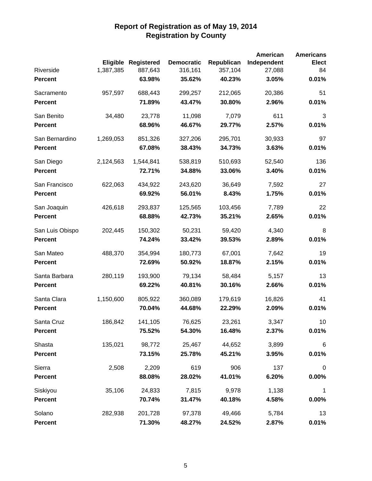|                 |                 |                   |                   |            | <b>American</b> | <b>Americans</b> |
|-----------------|-----------------|-------------------|-------------------|------------|-----------------|------------------|
|                 | <b>Eligible</b> | <b>Registered</b> | <b>Democratic</b> | Republican | Independent     | <b>Elect</b>     |
| Riverside       | 1,387,385       | 887,643           | 316,161           | 357,104    | 27,088          | 84               |
| <b>Percent</b>  |                 | 63.98%            | 35.62%            | 40.23%     | 3.05%           | 0.01%            |
| Sacramento      | 957,597         | 688,443           | 299,257           | 212,065    | 20,386          | 51               |
| <b>Percent</b>  |                 | 71.89%            | 43.47%            | 30.80%     | 2.96%           | 0.01%            |
| San Benito      | 34,480          | 23,778            | 11,098            | 7,079      | 611             | 3                |
| <b>Percent</b>  |                 | 68.96%            | 46.67%            | 29.77%     | 2.57%           | 0.01%            |
| San Bernardino  | 1,269,053       | 851,326           | 327,206           | 295,701    | 30,933          | 97               |
| <b>Percent</b>  |                 | 67.08%            | 38.43%            | 34.73%     | 3.63%           | 0.01%            |
| San Diego       | 2,124,563       | 1,544,841         | 538,819           | 510,693    | 52,540          | 136              |
| <b>Percent</b>  |                 | 72.71%            | 34.88%            | 33.06%     | 3.40%           | 0.01%            |
| San Francisco   | 622,063         | 434,922           | 243,620           | 36,649     | 7,592           | 27               |
| <b>Percent</b>  |                 | 69.92%            | 56.01%            | 8.43%      | 1.75%           | 0.01%            |
| San Joaquin     | 426,618         | 293,837           | 125,565           | 103,456    | 7,789           | 22               |
| <b>Percent</b>  |                 | 68.88%            | 42.73%            | 35.21%     | 2.65%           | 0.01%            |
| San Luis Obispo | 202,445         | 150,302           | 50,231            | 59,420     | 4,340           | 8                |
| <b>Percent</b>  |                 | 74.24%            | 33.42%            | 39.53%     | 2.89%           | 0.01%            |
| San Mateo       | 488,370         | 354,994           | 180,773           | 67,001     | 7,642           | 19               |
| <b>Percent</b>  |                 | 72.69%            | 50.92%            | 18.87%     | 2.15%           | 0.01%            |
| Santa Barbara   | 280,119         | 193,900           | 79,134            | 58,484     | 5,157           | 13               |
| <b>Percent</b>  |                 | 69.22%            | 40.81%            | 30.16%     | 2.66%           | 0.01%            |
| Santa Clara     | 1,150,600       | 805,922           | 360,089           | 179,619    | 16,826          | 41               |
| <b>Percent</b>  |                 | 70.04%            | 44.68%            | 22.29%     | 2.09%           | 0.01%            |
| Santa Cruz      | 186,842         | 141,105           | 76,625            | 23,261     | 3,347           | 10               |
| <b>Percent</b>  |                 | 75.52%            | 54.30%            | 16.48%     | 2.37%           | 0.01%            |
| Shasta          | 135,021         | 98,772            | 25,467            | 44,652     | 3,899           | $\,6$            |
| <b>Percent</b>  |                 | 73.15%            | 25.78%            | 45.21%     | 3.95%           | 0.01%            |
| Sierra          | 2,508           | 2,209             | 619               | 906        | 137             | $\pmb{0}$        |
| <b>Percent</b>  |                 | 88.08%            | 28.02%            | 41.01%     | 6.20%           | 0.00%            |
| Siskiyou        | 35,106          | 24,833            | 7,815             | 9,978      | 1,138           | $\mathbf{1}$     |
| <b>Percent</b>  |                 | 70.74%            | 31.47%            | 40.18%     | 4.58%           | 0.00%            |
| Solano          | 282,938         | 201,728           | 97,378            | 49,466     | 5,784           | 13               |
| <b>Percent</b>  |                 | 71.30%            | 48.27%            | 24.52%     | 2.87%           | 0.01%            |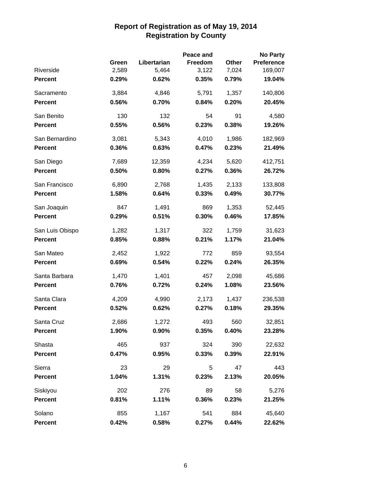|                 |       |             | Peace and |       | <b>No Party</b>   |
|-----------------|-------|-------------|-----------|-------|-------------------|
|                 | Green | Libertarian | Freedom   | Other | <b>Preference</b> |
| Riverside       | 2,589 | 5,464       | 3,122     | 7,024 | 169,007           |
| <b>Percent</b>  | 0.29% | 0.62%       | 0.35%     | 0.79% | 19.04%            |
| Sacramento      | 3,884 | 4,846       | 5,791     | 1,357 | 140,806           |
| <b>Percent</b>  | 0.56% | 0.70%       | 0.84%     | 0.20% | 20.45%            |
| San Benito      | 130   | 132         | 54        | 91    | 4,580             |
| <b>Percent</b>  | 0.55% | 0.56%       | 0.23%     | 0.38% | 19.26%            |
| San Bernardino  | 3,081 | 5,343       | 4,010     | 1,986 | 182,969           |
| <b>Percent</b>  | 0.36% | 0.63%       | 0.47%     | 0.23% | 21.49%            |
| San Diego       | 7,689 | 12,359      | 4,234     | 5,620 | 412,751           |
| <b>Percent</b>  | 0.50% | 0.80%       | 0.27%     | 0.36% | 26.72%            |
| San Francisco   | 6,890 | 2,768       | 1,435     | 2,133 | 133,808           |
| <b>Percent</b>  | 1.58% | 0.64%       | 0.33%     | 0.49% | 30.77%            |
| San Joaquin     | 847   | 1,491       | 869       | 1,353 | 52,445            |
| <b>Percent</b>  | 0.29% | 0.51%       | 0.30%     | 0.46% | 17.85%            |
| San Luis Obispo | 1,282 | 1,317       | 322       | 1,759 | 31,623            |
| <b>Percent</b>  | 0.85% | 0.88%       | 0.21%     | 1.17% | 21.04%            |
| San Mateo       | 2,452 | 1,922       | 772       | 859   | 93,554            |
| <b>Percent</b>  | 0.69% | 0.54%       | 0.22%     | 0.24% | 26.35%            |
| Santa Barbara   | 1,470 | 1,401       | 457       | 2,098 | 45,686            |
| <b>Percent</b>  | 0.76% | 0.72%       | 0.24%     | 1.08% | 23.56%            |
| Santa Clara     | 4,209 | 4,990       | 2,173     | 1,437 | 236,538           |
| <b>Percent</b>  | 0.52% | 0.62%       | 0.27%     | 0.18% | 29.35%            |
| Santa Cruz      | 2,686 | 1,272       | 493       | 560   | 32,851            |
| <b>Percent</b>  | 1.90% | 0.90%       | 0.35%     | 0.40% | 23.28%            |
| Shasta          | 465   | 937         | 324       | 390   | 22,632            |
| <b>Percent</b>  | 0.47% | 0.95%       | 0.33%     | 0.39% | 22.91%            |
| Sierra          | 23    | 29          | 5         | 47    | 443               |
| <b>Percent</b>  | 1.04% | 1.31%       | 0.23%     | 2.13% | 20.05%            |
| Siskiyou        | 202   | 276         | 89        | 58    | 5,276             |
| <b>Percent</b>  | 0.81% | 1.11%       | 0.36%     | 0.23% | 21.25%            |
| Solano          | 855   | 1,167       | 541       | 884   | 45,640            |
| <b>Percent</b>  | 0.42% | 0.58%       | 0.27%     | 0.44% | 22.62%            |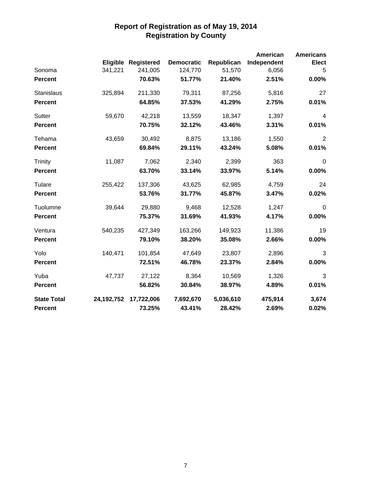|                    |            | Eligible Registered | <b>Democratic</b> | Republican | <b>American</b><br>Independent | <b>Americans</b><br><b>Elect</b> |
|--------------------|------------|---------------------|-------------------|------------|--------------------------------|----------------------------------|
| Sonoma             | 341,221    | 241,005             | 124,770           | 51,570     | 6,056                          | 5                                |
| <b>Percent</b>     |            | 70.63%              | 51.77%            | 21.40%     | 2.51%                          | 0.00%                            |
| Stanislaus         | 325,894    | 211,330             | 79,311            | 87,256     | 5,816                          | 27                               |
| <b>Percent</b>     |            | 64.85%              | 37.53%            | 41.29%     | 2.75%                          | 0.01%                            |
| Sutter             | 59,670     | 42,218              | 13,559            | 18,347     | 1,397                          | $\overline{4}$                   |
| <b>Percent</b>     |            | 70.75%              | 32.12%            | 43.46%     | 3.31%                          | 0.01%                            |
| Tehama             | 43,659     | 30,492              | 8,875             | 13,186     | 1,550                          | $\overline{2}$                   |
| <b>Percent</b>     |            | 69.84%              | 29.11%            | 43.24%     | 5.08%                          | 0.01%                            |
| <b>Trinity</b>     | 11,087     | 7,062               | 2,340             | 2,399      | 363                            | $\mathbf 0$                      |
| <b>Percent</b>     |            | 63.70%              | 33.14%            | 33.97%     | 5.14%                          | 0.00%                            |
| Tulare             | 255,422    | 137,306             | 43,625            | 62,985     | 4,759                          | 24                               |
| <b>Percent</b>     |            | 53.76%              | 31.77%            | 45.87%     | 3.47%                          | 0.02%                            |
| Tuolumne           | 39,644     | 29,880              | 9,468             | 12,528     | 1,247                          | $\mathbf 0$                      |
| <b>Percent</b>     |            | 75.37%              | 31.69%            | 41.93%     | 4.17%                          | 0.00%                            |
| Ventura            | 540,235    | 427,349             | 163,266           | 149,923    | 11,386                         | 19                               |
| <b>Percent</b>     |            | 79.10%              | 38.20%            | 35.08%     | 2.66%                          | 0.00%                            |
| Yolo               | 140,471    | 101,854             | 47,649            | 23,807     | 2,896                          | 3                                |
| <b>Percent</b>     |            | 72.51%              | 46.78%            | 23.37%     | 2.84%                          | 0.00%                            |
| Yuba               | 47,737     | 27,122              | 8,364             | 10,569     | 1,326                          | 3                                |
| <b>Percent</b>     |            | 56.82%              | 30.84%            | 38.97%     | 4.89%                          | 0.01%                            |
| <b>State Total</b> | 24,192,752 | 17,722,006          | 7,692,670         | 5,036,610  | 475,914                        | 3,674                            |
| <b>Percent</b>     |            | 73.25%              | 43.41%            | 28.42%     | 2.69%                          | 0.02%                            |